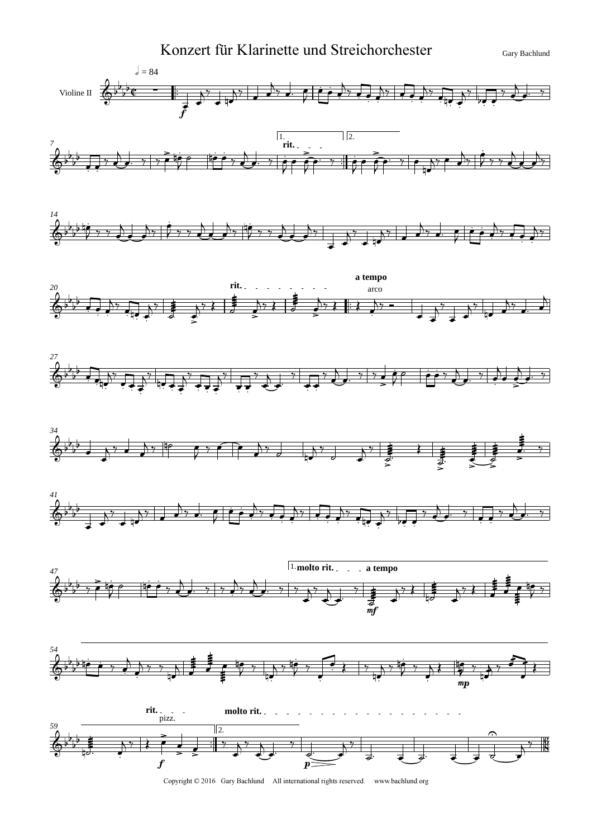

Copyright © 2016 Gary Bachlund All international rights reserved. www.bachlund.org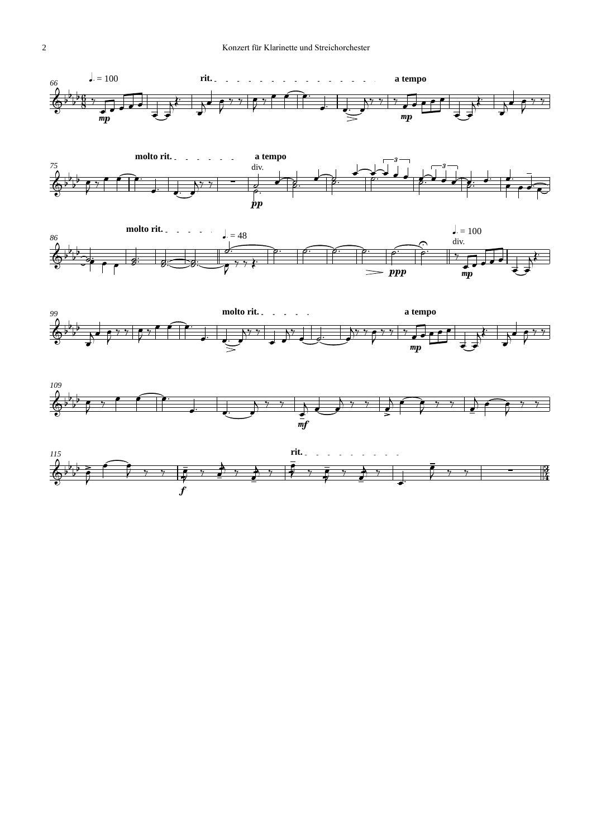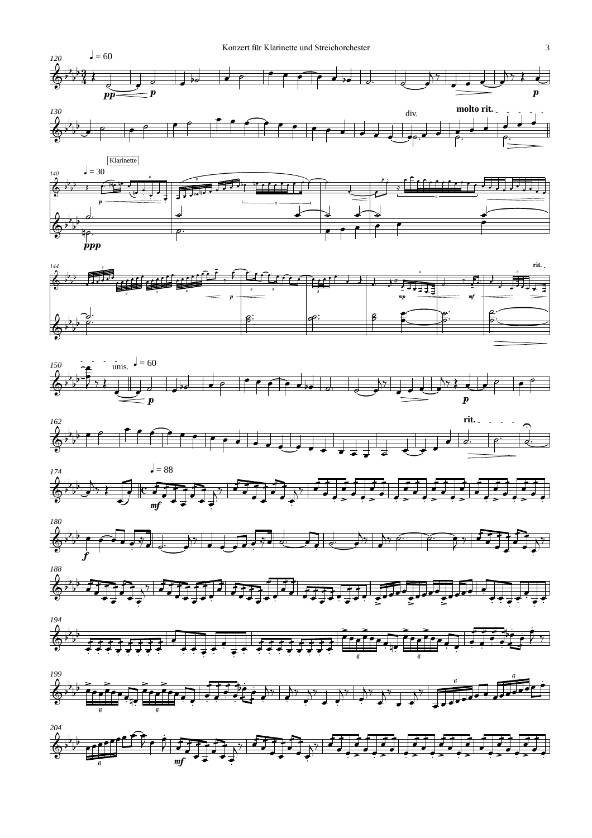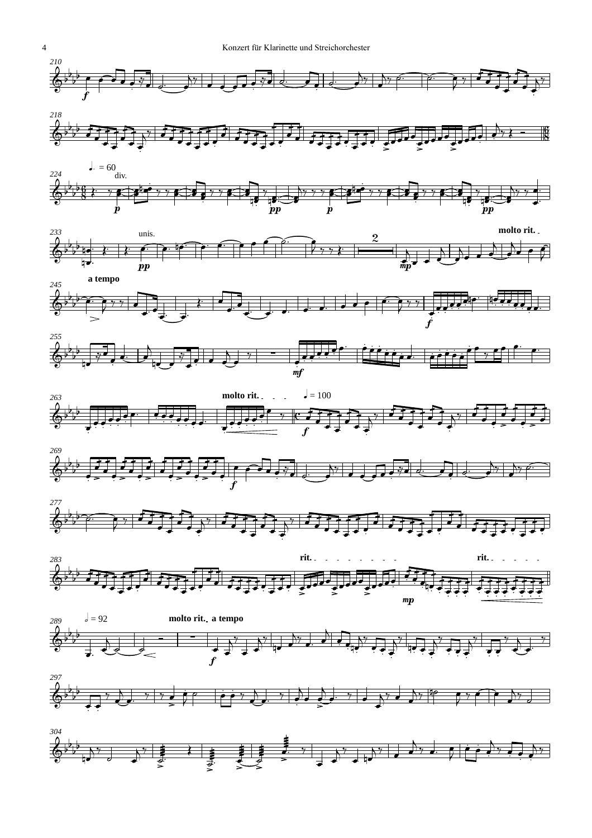